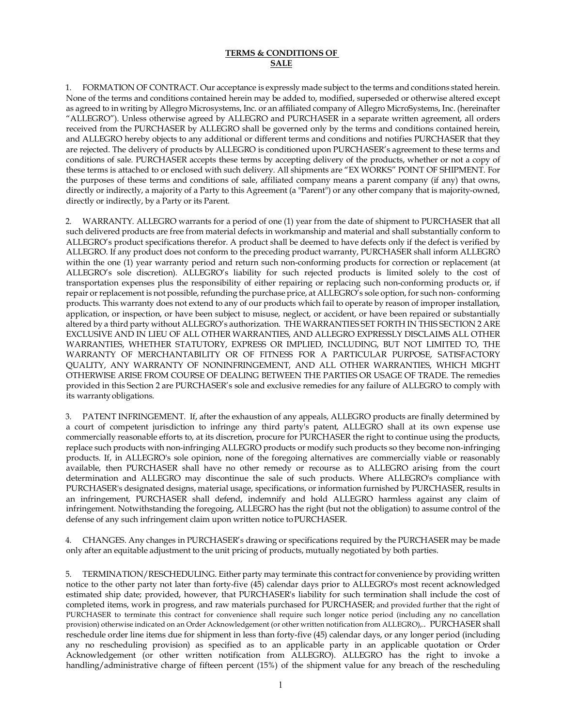## **TERMS & CONDITIONS OF SALE**

1. FORMATION OF CONTRACT. Our acceptance is expressly made subject to the terms and conditions stated herein. None of the terms and conditions contained herein may be added to, modified, superseded or otherwise altered except as agreed to in writing by Allegro Microsystems, Inc. or an affiliated company of Allegro MicroSystems, Inc. (hereinafter "ALLEGRO"). Unless otherwise agreed by ALLEGRO and PURCHASER in a separate written agreement, all orders received from the PURCHASER by ALLEGRO shall be governed only by the terms and conditions contained herein, and ALLEGRO hereby objects to any additional or different terms and conditions and notifies PURCHASER that they are rejected. The delivery of products by ALLEGRO is conditioned upon PURCHASER's agreement to these terms and conditions of sale. PURCHASER accepts these terms by accepting delivery of the products, whether or not a copy of these terms is attached to or enclosed with such delivery. All shipments are "EX WORKS" POINT OF SHIPMENT. For the purposes of these terms and conditions of sale, affiliated company means a parent company (if any) that owns, directly or indirectly, a majority of a Party to this Agreement (a "Parent") or any other company that is majority-owned, directly or indirectly, by a Party or its Parent.

2. WARRANTY. ALLEGRO warrants for a period of one (1) year from the date of shipment to PURCHASER that all such delivered products are free from material defects in workmanship and material and shall substantially conform to ALLEGRO's product specifications therefor. A product shall be deemed to have defects only if the defect is verified by ALLEGRO. If any product does not conform to the preceding product warranty, PURCHASER shall inform ALLEGRO within the one (1) year warranty period and return such non-conforming products for correction or replacement (at ALLEGRO's sole discretion). ALLEGRO's liability for such rejected products is limited solely to the cost of transportation expenses plus the responsibility of either repairing or replacing such non-conforming products or, if repair or replacement is not possible, refunding the purchase price, at ALLEGRO's sole option, for such non- conforming products. This warranty does not extend to any of our products which fail to operate by reason of improper installation, application, or inspection, or have been subject to misuse, neglect, or accident, or have been repaired or substantially altered by a third party without ALLEGRO's authorization. THE WARRANTIES SET FORTH IN THIS SECTION 2 ARE EXCLUSIVE AND IN LIEU OF ALL OTHER WARRANTIES, AND ALLEGRO EXPRESSLY DISCLAIMS ALL OTHER WARRANTIES, WHETHER STATUTORY, EXPRESS OR IMPLIED, INCLUDING, BUT NOT LIMITED TO, THE WARRANTY OF MERCHANTABILITY OR OF FITNESS FOR A PARTICULAR PURPOSE, SATISFACTORY QUALITY, ANY WARRANTY OF NONINFRINGEMENT, AND ALL OTHER WARRANTIES, WHICH MIGHT OTHERWISE ARISE FROM COURSE OF DEALING BETWEEN THE PARTIES OR USAGE OF TRADE. The remedies provided in this Section 2 are PURCHASER's sole and exclusive remedies for any failure of ALLEGRO to comply with its warrantyobligations.

3. PATENT INFRINGEMENT. If, after the exhaustion of any appeals, ALLEGRO products are finally determined by a court of competent jurisdiction to infringe any third party's patent, ALLEGRO shall at its own expense use commercially reasonable efforts to, at its discretion, procure for PURCHASER the right to continue using the products, replace such products with non-infringing ALLEGRO products or modify such products so they become non-infringing products. If, in ALLEGRO's sole opinion, none of the foregoing alternatives are commercially viable or reasonably available, then PURCHASER shall have no other remedy or recourse as to ALLEGRO arising from the court determination and ALLEGRO may discontinue the sale of such products. Where ALLEGRO's compliance with PURCHASER's designated designs, material usage, specifications, or information furnished by PURCHASER, results in an infringement, PURCHASER shall defend, indemnify and hold ALLEGRO harmless against any claim of infringement. Notwithstanding the foregoing, ALLEGRO has the right (but not the obligation) to assume control of the defense of any such infringement claim upon written notice toPURCHASER.

4. CHANGES. Any changes in PURCHASER's drawing or specifications required by the PURCHASER may be made only after an equitable adjustment to the unit pricing of products, mutually negotiated by both parties.

5. TERMINATION/RESCHEDULING. Either party may terminate this contract for convenience by providing written notice to the other party not later than forty-five (45) calendar days prior to ALLEGRO's most recent acknowledged estimated ship date; provided, however, that PURCHASER's liability for such termination shall include the cost of completed items, work in progress, and raw materials purchased for PURCHASER; and provided further that the right of PURCHASER to terminate this contract for convenience shall require such longer notice period (including any no cancellation provision) otherwise indicated on an Order Acknowledgement (or other written notification from ALLEGRO),.. PURCHASER shall reschedule order line items due for shipment in less than forty-five (45) calendar days, or any longer period (including any no rescheduling provision) as specified as to an applicable party in an applicable quotation or Order Acknowledgement (or other written notification from ALLEGRO). ALLEGRO has the right to invoke a handling/administrative charge of fifteen percent (15%) of the shipment value for any breach of the rescheduling